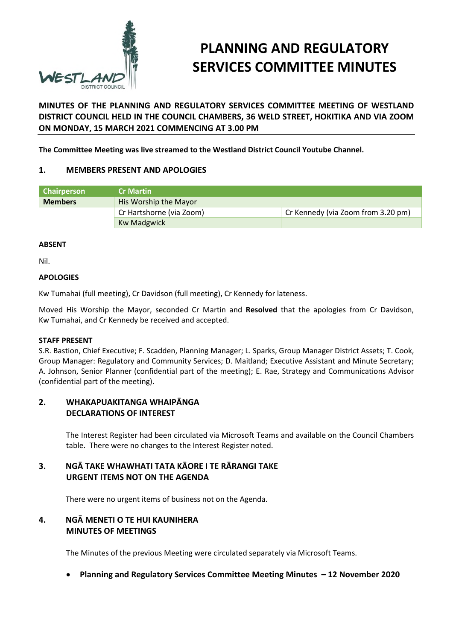

# **PLANNING AND REGULATORY SERVICES COMMITTEE MINUTES**

# **MINUTES OF THE PLANNING AND REGULATORY SERVICES COMMITTEE MEETING OF WESTLAND DISTRICT COUNCIL HELD IN THE COUNCIL CHAMBERS, 36 WELD STREET, HOKITIKA AND VIA ZOOM ON MONDAY, 15 MARCH 2021 COMMENCING AT 3.00 PM**

**The Committee Meeting was live streamed to the Westland District Council Youtube Channel.** 

## **1. MEMBERS PRESENT AND APOLOGIES**

| <b>Chairperson</b> | <b>Cr Martin</b>         |                                    |
|--------------------|--------------------------|------------------------------------|
| <b>Members</b>     | His Worship the Mayor    |                                    |
|                    | Cr Hartshorne (via Zoom) | Cr Kennedy (via Zoom from 3.20 pm) |
|                    | <b>Kw Madgwick</b>       |                                    |

#### **ABSENT**

Nil.

#### **APOLOGIES**

Kw Tumahai (full meeting), Cr Davidson (full meeting), Cr Kennedy for lateness.

Moved His Worship the Mayor, seconded Cr Martin and **Resolved** that the apologies from Cr Davidson, Kw Tumahai, and Cr Kennedy be received and accepted.

#### **STAFF PRESENT**

S.R. Bastion, Chief Executive; F. Scadden, Planning Manager; L. Sparks, Group Manager District Assets; T. Cook, Group Manager: Regulatory and Community Services; D. Maitland; Executive Assistant and Minute Secretary; A. Johnson, Senior Planner (confidential part of the meeting); E. Rae, Strategy and Communications Advisor (confidential part of the meeting).

#### **2. WHAKAPUAKITANGA WHAIPĀNGA DECLARATIONS OF INTEREST**

The Interest Register had been circulated via Microsoft Teams and available on the Council Chambers table. There were no changes to the Interest Register noted.

# **3. NGĀ TAKE WHAWHATI TATA KĀORE I TE RĀRANGI TAKE URGENT ITEMS NOT ON THE AGENDA**

There were no urgent items of business not on the Agenda.

# **4. NGĀ MENETI O TE HUI KAUNIHERA MINUTES OF MEETINGS**

The Minutes of the previous Meeting were circulated separately via Microsoft Teams.

**Planning and Regulatory Services Committee Meeting Minutes – 12 November 2020**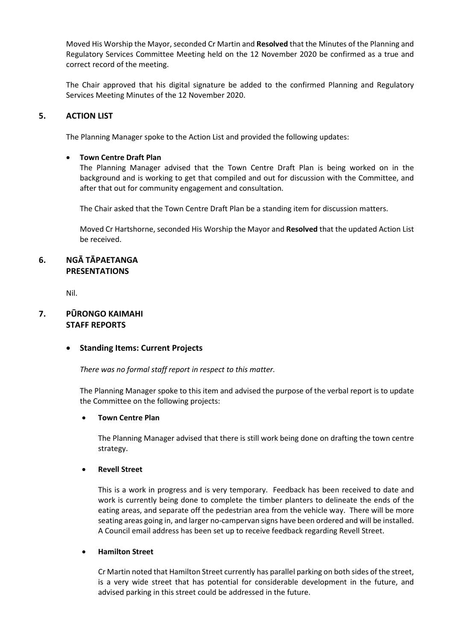Moved His Worship the Mayor, seconded Cr Martin and **Resolved** that the Minutes of the Planning and Regulatory Services Committee Meeting held on the 12 November 2020 be confirmed as a true and correct record of the meeting.

The Chair approved that his digital signature be added to the confirmed Planning and Regulatory Services Meeting Minutes of the 12 November 2020.

#### **5. ACTION LIST**

The Planning Manager spoke to the Action List and provided the following updates:

#### **Town Centre Draft Plan**

The Planning Manager advised that the Town Centre Draft Plan is being worked on in the background and is working to get that compiled and out for discussion with the Committee, and after that out for community engagement and consultation.

The Chair asked that the Town Centre Draft Plan be a standing item for discussion matters.

Moved Cr Hartshorne, seconded His Worship the Mayor and **Resolved** that the updated Action List be received.

# **6. NGĀ TĀPAETANGA PRESENTATIONS**

Nil.

# **7. PŪRONGO KAIMAHI STAFF REPORTS**

#### **Standing Items: Current Projects**

*There was no formal staff report in respect to this matter.* 

The Planning Manager spoke to this item and advised the purpose of the verbal report is to update the Committee on the following projects:

#### **Town Centre Plan**

 The Planning Manager advised that there is still work being done on drafting the town centre strategy.

#### **Revell Street**

 This is a work in progress and is very temporary. Feedback has been received to date and work is currently being done to complete the timber planters to delineate the ends of the eating areas, and separate off the pedestrian area from the vehicle way. There will be more seating areas going in, and larger no-campervan signs have been ordered and will be installed. A Council email address has been set up to receive feedback regarding Revell Street.

#### **Hamilton Street**

 Cr Martin noted that Hamilton Street currently has parallel parking on both sides of the street, is a very wide street that has potential for considerable development in the future, and advised parking in this street could be addressed in the future.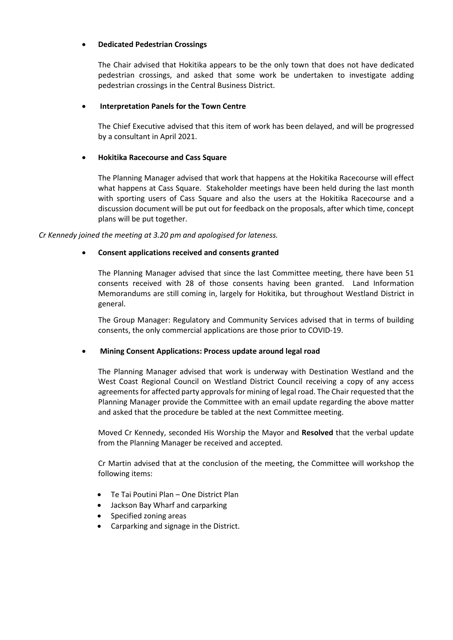#### **Dedicated Pedestrian Crossings**

 The Chair advised that Hokitika appears to be the only town that does not have dedicated pedestrian crossings, and asked that some work be undertaken to investigate adding pedestrian crossings in the Central Business District.

#### **Interpretation Panels for the Town Centre**

 The Chief Executive advised that this item of work has been delayed, and will be progressed by a consultant in April 2021.

#### **Hokitika Racecourse and Cass Square**

 The Planning Manager advised that work that happens at the Hokitika Racecourse will effect what happens at Cass Square. Stakeholder meetings have been held during the last month with sporting users of Cass Square and also the users at the Hokitika Racecourse and a discussion document will be put out for feedback on the proposals, after which time, concept plans will be put together.

*Cr Kennedy joined the meeting at 3.20 pm and apologised for lateness.* 

#### **Consent applications received and consents granted**

The Planning Manager advised that since the last Committee meeting, there have been 51 consents received with 28 of those consents having been granted. Land Information Memorandums are still coming in, largely for Hokitika, but throughout Westland District in general.

 The Group Manager: Regulatory and Community Services advised that in terms of building consents, the only commercial applications are those prior to COVID-19.

#### **Mining Consent Applications: Process update around legal road**

 The Planning Manager advised that work is underway with Destination Westland and the West Coast Regional Council on Westland District Council receiving a copy of any access agreements for affected party approvals for mining of legal road. The Chair requested that the Planning Manager provide the Committee with an email update regarding the above matter and asked that the procedure be tabled at the next Committee meeting.

Moved Cr Kennedy, seconded His Worship the Mayor and **Resolved** that the verbal update from the Planning Manager be received and accepted.

Cr Martin advised that at the conclusion of the meeting, the Committee will workshop the following items:

- Te Tai Poutini Plan One District Plan
- Jackson Bay Wharf and carparking
- Specified zoning areas
- Carparking and signage in the District.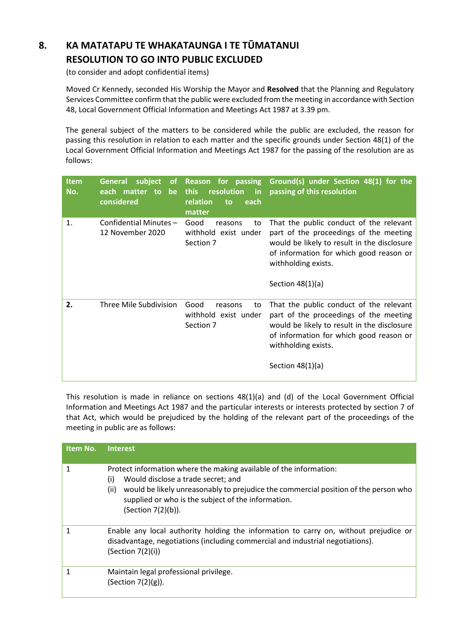# **8. KA MATATAPU TE WHAKATAUNGA I TE TŪMATANUI RESOLUTION TO GO INTO PUBLIC EXCLUDED**

(to consider and adopt confidential items)

 Moved Cr Kennedy, seconded His Worship the Mayor and **Resolved** that the Planning and Regulatory Services Committee confirm that the public were excluded from the meeting in accordance with Section 48, Local Government Official Information and Meetings Act 1987 at 3.39 pm.

The general subject of the matters to be considered while the public are excluded, the reason for passing this resolution in relation to each matter and the specific grounds under Section 48(1) of the Local Government Official Information and Meetings Act 1987 for the passing of the resolution are as follows:

| <b>Item</b><br>No. | subject<br><b>General</b><br><b>of</b><br>each matter to<br>be<br>considered | Reason for passing<br>resolution<br><b>this</b><br><b>in</b><br>relation<br>to<br>each<br>matter | Ground(s) under Section 48(1) for the<br>passing of this resolution                                                                                                                                                      |
|--------------------|------------------------------------------------------------------------------|--------------------------------------------------------------------------------------------------|--------------------------------------------------------------------------------------------------------------------------------------------------------------------------------------------------------------------------|
| 1.                 | Confidential Minutes-<br>12 November 2020                                    | Good<br>reasons<br>to<br>withhold exist under<br>Section 7                                       | That the public conduct of the relevant<br>part of the proceedings of the meeting<br>would be likely to result in the disclosure<br>of information for which good reason or<br>withholding exists.<br>Section $48(1)(a)$ |
| 2.                 | Three Mile Subdivision                                                       | Good<br>reasons<br>to<br>withhold exist under<br>Section 7                                       | That the public conduct of the relevant<br>part of the proceedings of the meeting<br>would be likely to result in the disclosure<br>of information for which good reason or<br>withholding exists.<br>Section $48(1)(a)$ |

This resolution is made in reliance on sections 48(1)(a) and (d) of the Local Government Official Information and Meetings Act 1987 and the particular interests or interests protected by section 7 of that Act, which would be prejudiced by the holding of the relevant part of the proceedings of the meeting in public are as follows:

| Item No. | <b>Interest</b>                                                                                                                                                                                                                                                                            |
|----------|--------------------------------------------------------------------------------------------------------------------------------------------------------------------------------------------------------------------------------------------------------------------------------------------|
|          | Protect information where the making available of the information:<br>Would disclose a trade secret; and<br>(i)<br>(ii)<br>would be likely unreasonably to prejudice the commercial position of the person who<br>supplied or who is the subject of the information.<br>(Section 7(2)(b)). |
|          | Enable any local authority holding the information to carry on, without prejudice or<br>disadvantage, negotiations (including commercial and industrial negotiations).<br>(Section 7(2)(i))                                                                                                |
|          | Maintain legal professional privilege.<br>(Section $7(2)(g)$ ).                                                                                                                                                                                                                            |